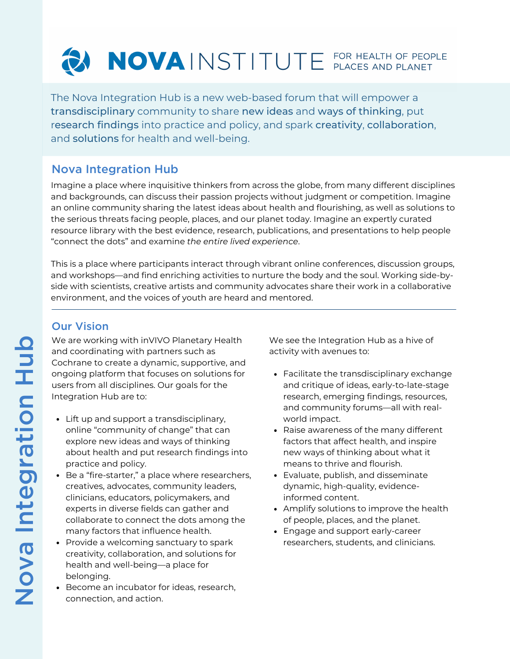# NOVAINSTITUTE FOR HEALTH OF PEOPLE

The Nova Integration Hub is a new web-based forum that will empower a transdisciplinary community to share new ideas and ways of thinking, put research findings into practice and policy, and spark creativity, collaboration, and solutions for health and well-being.

## Nova Integration Hub

Imagine a place where inquisitive thinkers from across the globe, from many different disciplines and backgrounds, can discuss their passion projects without judgment or competition. Imagine an online community sharing the latest ideas about health and flourishing, as well as solutions to the serious threats facing people, places, and our planet today. Imagine an expertly curated resource library with the best evidence, research, publications, and presentations to help people "connect the dots" and examine *the entire lived experience*.

This is a place where participants interact through vibrant online conferences, discussion groups, and workshops—and find enriching activities to nurture the body and the soul. Working side-byside with scientists, creative artists and community advocates share their work in a collaborative environment, and the voices of youth are heard and mentored.

## Our Vision

We are working with inVIVO Planetary Health and coordinating with partners such as Cochrane to create a dynamic, supportive, and ongoing platform that focuses on solutions for users from all disciplines. Our goals for the Integration Hub are to:

- Lift up and support a transdisciplinary, online "community of change" that can explore new ideas and ways of thinking about health and put research findings into practice and policy.
- Be a "fire-starter," a place where researchers, creatives, advocates, community leaders, clinicians, educators, policymakers, and experts in diverse fields can gather and collaborate to connect the dots among the many factors that influence health.
- Provide a welcoming sanctuary to spark creativity, collaboration, and solutions for health and well-being—a place for belonging.
- Become an incubator for ideas, research, connection, and action.

We see the Integration Hub as a hive of activity with avenues to:

- Facilitate the transdisciplinary exchange and critique of ideas, early-to-late-stage research, emerging findings, resources, and community forums—all with realworld impact.
- Raise awareness of the many different factors that affect health, and inspire new ways of thinking about what it means to thrive and flourish.
- Evaluate, publish, and disseminate dynamic, high-quality, evidenceinformed content.
- Amplify solutions to improve the health of people, places, and the planet.
- Engage and support early-career researchers, students, and clinicians.